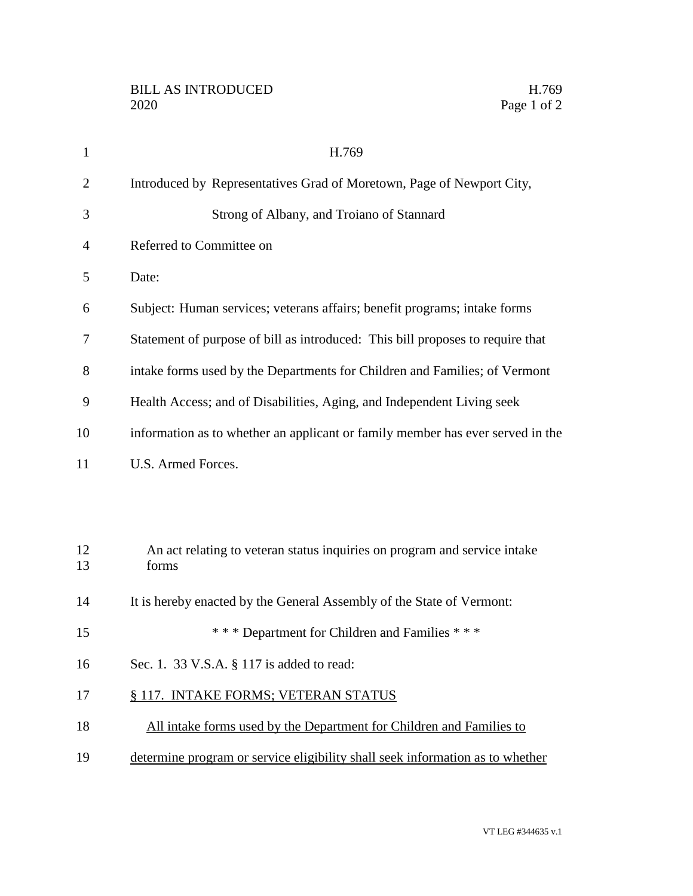| $\mathbf{1}$   | H.769                                                                              |
|----------------|------------------------------------------------------------------------------------|
| $\overline{2}$ | Introduced by Representatives Grad of Moretown, Page of Newport City,              |
| 3              | Strong of Albany, and Troiano of Stannard                                          |
| 4              | Referred to Committee on                                                           |
| 5              | Date:                                                                              |
| 6              | Subject: Human services; veterans affairs; benefit programs; intake forms          |
| 7              | Statement of purpose of bill as introduced: This bill proposes to require that     |
| 8              | intake forms used by the Departments for Children and Families; of Vermont         |
| 9              | Health Access; and of Disabilities, Aging, and Independent Living seek             |
| 10             | information as to whether an applicant or family member has ever served in the     |
| 11             | U.S. Armed Forces.                                                                 |
|                |                                                                                    |
|                |                                                                                    |
| 12<br>13       | An act relating to veteran status inquiries on program and service intake<br>forms |
| 14             | It is hereby enacted by the General Assembly of the State of Vermont:              |
| 15             | *** Department for Children and Families ***                                       |
| 16             | Sec. 1. 33 V.S.A. § 117 is added to read:                                          |
| 17             | § 117. INTAKE FORMS; VETERAN STATUS                                                |
| 18             | All intake forms used by the Department for Children and Families to               |
| 19             | determine program or service eligibility shall seek information as to whether      |